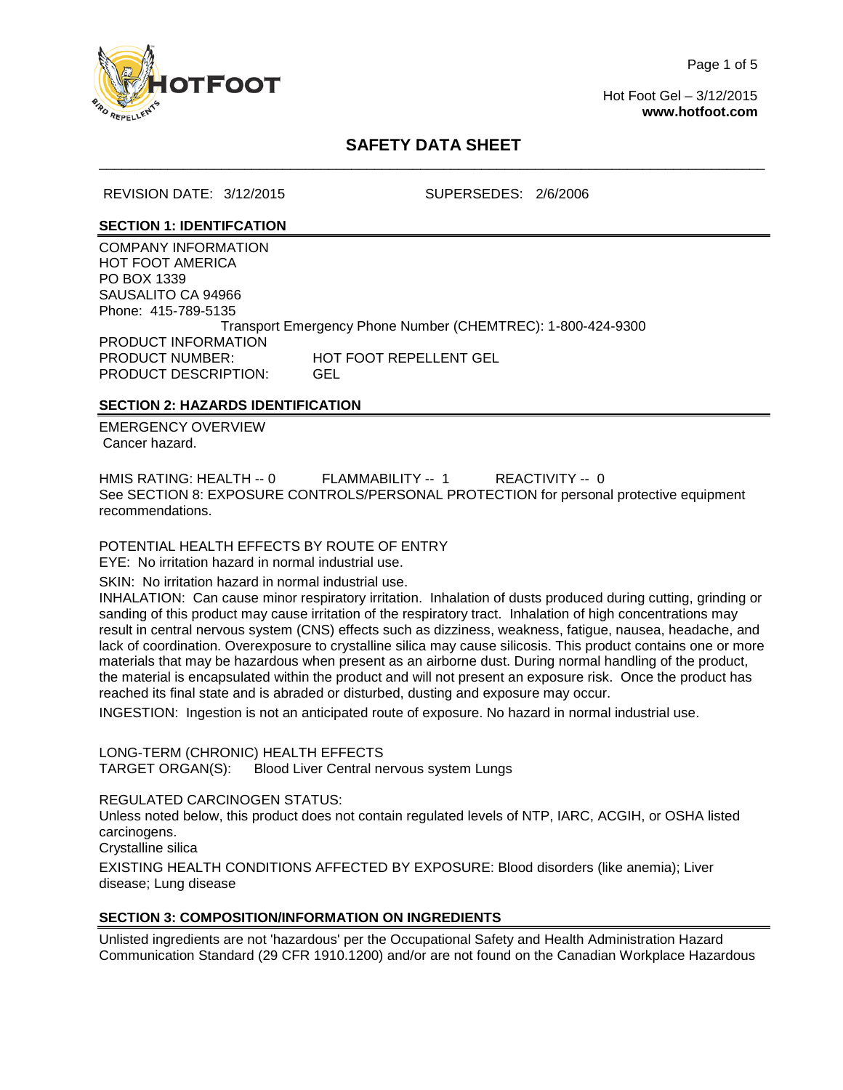

Page 1 of 5

Hot Foot Gel – 3/12/2015 **[www.hotfoot.com](http://www.hotfoot.com/)**

# **SAFETY DATA SHEET** \_\_\_\_\_\_\_\_\_\_\_\_\_\_\_\_\_\_\_\_\_\_\_\_\_\_\_\_\_\_\_\_\_\_\_\_\_\_\_\_\_\_\_\_\_\_\_\_\_\_\_\_\_\_\_\_\_\_\_\_\_\_\_\_\_\_\_\_\_\_\_\_\_\_\_\_\_\_\_\_\_\_\_\_\_\_\_

REVISION DATE: 3/12/2015 SUPERSEDES: 2/6/2006

### **SECTION 1: IDENTIFCATION**

COMPANY INFORMATION HOT FOOT AMERICA PO BOX 1339 SAUSALITO CA 94966 Phone: 415-789-5135 Transport Emergency Phone Number (CHEMTREC): 1-800-424-9300 PRODUCT INFORMATION PRODUCT NUMBER: HOT FOOT REPELLENT GEL PRODUCT DESCRIPTION: GEL

## **SECTION 2: HAZARDS IDENTIFICATION**

EMERGENCY OVERVIEW Cancer hazard.

HMIS RATING: HEALTH -- 0 FLAMMABILITY -- 1 REACTIVITY -- 0 See SECTION 8: EXPOSURE CONTROLS/PERSONAL PROTECTION for personal protective equipment recommendations.

POTENTIAL HEALTH EFFECTS BY ROUTE OF ENTRY EYE: No irritation hazard in normal industrial use.

SKIN:No irritation hazard in normal industrial use.

INHALATION:Can cause minor respiratory irritation. Inhalation of dusts produced during cutting, grinding or sanding of this product may cause irritation of the respiratory tract. Inhalation of high concentrations may result in central nervous system (CNS) effects such as dizziness, weakness, fatigue, nausea, headache, and lack of coordination. Overexposure to crystalline silica may cause silicosis. This product contains one or more materials that may be hazardous when present as an airborne dust. During normal handling of the product, the material is encapsulated within the product and will not present an exposure risk. Once the product has reached its final state and is abraded or disturbed, dusting and exposure may occur.

INGESTION:Ingestion is not an anticipated route of exposure. No hazard in normal industrial use.

LONG-TERM (CHRONIC) HEALTH EFFECTS<br>TARGET ORGAN(S): Blood Liver Central ne

Blood Liver Central nervous system Lungs

REGULATED CARCINOGEN STATUS:

Unless noted below, this product does not contain regulated levels of NTP, IARC, ACGIH, or OSHA listed carcinogens.

Crystalline silica

EXISTING HEALTH CONDITIONS AFFECTED BY EXPOSURE: Blood disorders (like anemia); Liver disease; Lung disease

## **SECTION 3: COMPOSITION/INFORMATION ON INGREDIENTS**

Unlisted ingredients are not 'hazardous' per the Occupational Safety and Health Administration Hazard Communication Standard (29 CFR 1910.1200) and/or are not found on the Canadian Workplace Hazardous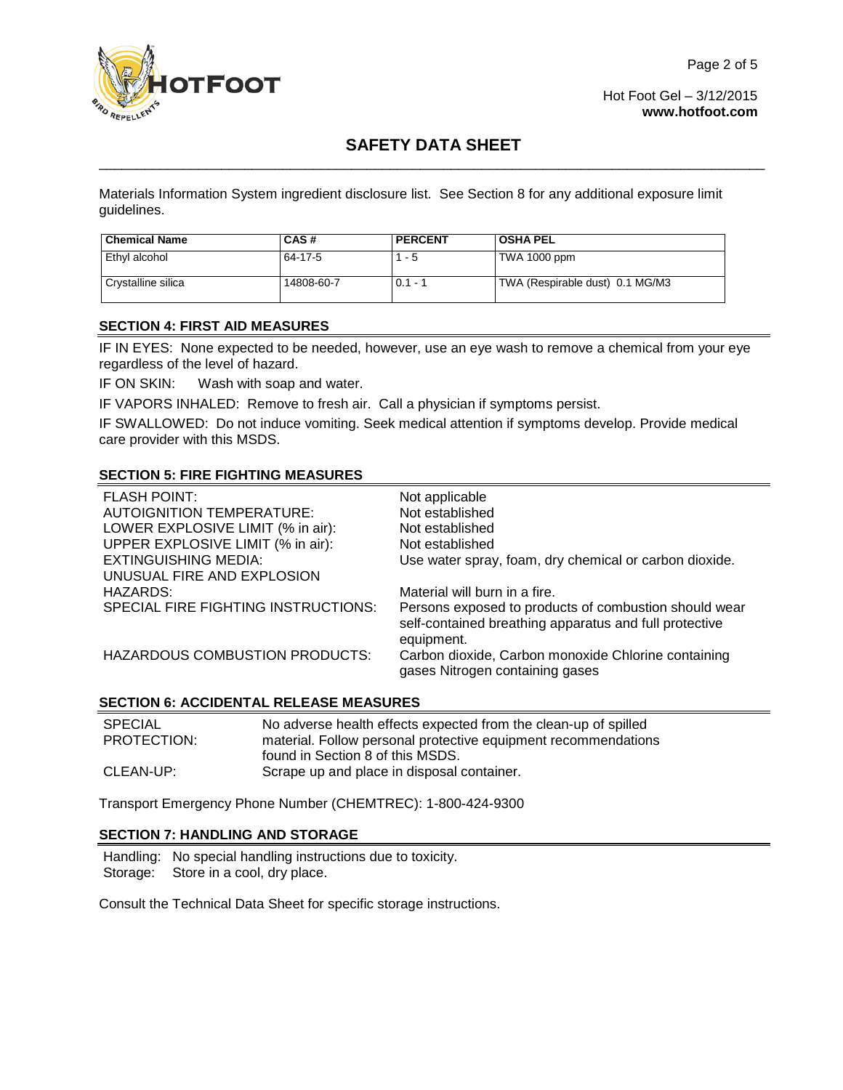

Hot Foot Gel – 3/12/2015 **[www.hotfoot.com](http://www.hotfoot.com/)**

# **SAFETY DATA SHEET** \_\_\_\_\_\_\_\_\_\_\_\_\_\_\_\_\_\_\_\_\_\_\_\_\_\_\_\_\_\_\_\_\_\_\_\_\_\_\_\_\_\_\_\_\_\_\_\_\_\_\_\_\_\_\_\_\_\_\_\_\_\_\_\_\_\_\_\_\_\_\_\_\_\_\_\_\_\_\_\_\_\_\_\_\_\_\_

Materials Information System ingredient disclosure list. See Section 8 for any additional exposure limit guidelines.

| <b>Chemical Name</b> | CAS#       | <b>PERCENT</b> | <b>OSHA PEL</b>                 |
|----------------------|------------|----------------|---------------------------------|
| Ethvl alcohol        | 64-17-5    | $1 - 5$        | <b>TWA 1000 ppm</b>             |
| Crystalline silica   | 14808-60-7 | $0.1 - 1$      | TWA (Respirable dust) 0.1 MG/M3 |

### **SECTION 4: FIRST AID MEASURES**

IF IN EYES: None expected to be needed, however, use an eye wash to remove a chemical from your eye regardless of the level of hazard.

IF ON SKIN: Wash with soap and water.

IF VAPORS INHALED: Remove to fresh air. Call a physician if symptoms persist.

IF SWALLOWED:Do not induce vomiting. Seek medical attention if symptoms develop. Provide medical care provider with this MSDS.

## **SECTION 5: FIRE FIGHTING MEASURES**

| <b>FLASH POINT:</b>                 | Not applicable                                                                                                                |
|-------------------------------------|-------------------------------------------------------------------------------------------------------------------------------|
| <b>AUTOIGNITION TEMPERATURE:</b>    | Not established                                                                                                               |
| LOWER EXPLOSIVE LIMIT (% in air):   | Not established                                                                                                               |
| UPPER EXPLOSIVE LIMIT (% in air):   | Not established                                                                                                               |
| <b>EXTINGUISHING MEDIA:</b>         | Use water spray, foam, dry chemical or carbon dioxide.                                                                        |
| UNUSUAL FIRE AND EXPLOSION          |                                                                                                                               |
| HAZARDS:                            | Material will burn in a fire.                                                                                                 |
| SPECIAL FIRE FIGHTING INSTRUCTIONS: | Persons exposed to products of combustion should wear<br>self-contained breathing apparatus and full protective<br>equipment. |
| HAZARDOUS COMBUSTION PRODUCTS:      | Carbon dioxide, Carbon monoxide Chlorine containing<br>gases Nitrogen containing gases                                        |

### **SECTION 6: ACCIDENTAL RELEASE MEASURES**

| <b>SPECIAL</b> | No adverse health effects expected from the clean-up of spilled                                    |
|----------------|----------------------------------------------------------------------------------------------------|
| PROTECTION:    | material. Follow personal protective equipment recommendations<br>found in Section 8 of this MSDS. |
| CLEAN-UP:      | Scrape up and place in disposal container.                                                         |

Transport Emergency Phone Number (CHEMTREC): 1-800-424-9300

### **SECTION 7: HANDLING AND STORAGE**

Handling: No special handling instructions due to toxicity. Storage: Store in a cool, dry place.

Consult the Technical Data Sheet for specific storage instructions.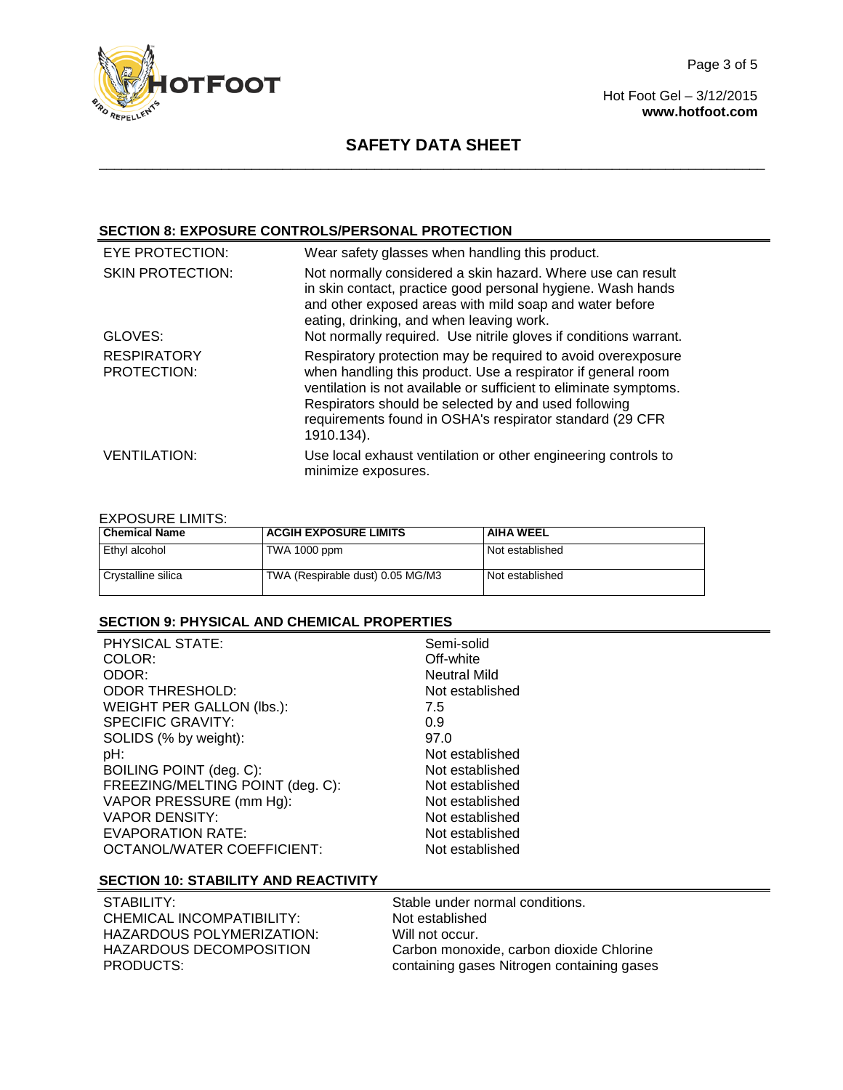

Hot Foot Gel – 3/12/2015 **[www.hotfoot.com](http://www.hotfoot.com/)**

## **SAFETY DATA SHEET** \_\_\_\_\_\_\_\_\_\_\_\_\_\_\_\_\_\_\_\_\_\_\_\_\_\_\_\_\_\_\_\_\_\_\_\_\_\_\_\_\_\_\_\_\_\_\_\_\_\_\_\_\_\_\_\_\_\_\_\_\_\_\_\_\_\_\_\_\_\_\_\_\_\_\_\_\_\_\_\_\_\_\_\_\_\_\_

## **SECTION 8: EXPOSURE CONTROLS/PERSONAL PROTECTION**

| EYE PROTECTION:                   | Wear safety glasses when handling this product.                                                                                                                                                                                                                                                                                     |
|-----------------------------------|-------------------------------------------------------------------------------------------------------------------------------------------------------------------------------------------------------------------------------------------------------------------------------------------------------------------------------------|
| <b>SKIN PROTECTION:</b>           | Not normally considered a skin hazard. Where use can result<br>in skin contact, practice good personal hygiene. Wash hands<br>and other exposed areas with mild soap and water before<br>eating, drinking, and when leaving work.                                                                                                   |
| GLOVES:                           | Not normally required. Use nitrile gloves if conditions warrant.                                                                                                                                                                                                                                                                    |
| <b>RESPIRATORY</b><br>PROTECTION: | Respiratory protection may be required to avoid overexposure<br>when handling this product. Use a respirator if general room<br>ventilation is not available or sufficient to eliminate symptoms.<br>Respirators should be selected by and used following<br>requirements found in OSHA's respirator standard (29 CFR<br>1910.134). |
| <b>VENTILATION:</b>               | Use local exhaust ventilation or other engineering controls to<br>minimize exposures.                                                                                                                                                                                                                                               |

## EXPOSURE LIMITS:

| <b>Chemical Name</b> | <b>ACGIH EXPOSURE LIMITS</b>     | <b>AIHA WEEL</b> |
|----------------------|----------------------------------|------------------|
| Ethvl alcohol        | TWA 1000 ppm                     | Not established  |
| Crystalline silica   | TWA (Respirable dust) 0.05 MG/M3 | Not established  |

## **SECTION 9: PHYSICAL AND CHEMICAL PROPERTIES**

| PHYSICAL STATE:<br>COLOR:        | Semi-solid<br>Off-white |
|----------------------------------|-------------------------|
| ODOR:                            | <b>Neutral Mild</b>     |
| <b>ODOR THRESHOLD:</b>           | Not established         |
| WEIGHT PER GALLON (lbs.):        | 7.5                     |
| SPECIFIC GRAVITY:                | 0.9                     |
| SOLIDS (% by weight):            | 97.0                    |
| pH:                              | Not established         |
| BOILING POINT (deg. C):          | Not established         |
| FREEZING/MELTING POINT (deg. C): | Not established         |
| VAPOR PRESSURE (mm Hg):          | Not established         |
| <b>VAPOR DENSITY:</b>            | Not established         |
| <b>EVAPORATION RATE:</b>         | Not established         |
| OCTANOL/WATER COEFFICIENT:       | Not established         |

#### **SECTION 10: STABILITY AND REACTIVITY**

| STABILITY: I              | Stable under normal conditions.            |
|---------------------------|--------------------------------------------|
| CHEMICAL INCOMPATIBILITY: | Not established                            |
| HAZARDOUS POLYMERIZATION: | Will not occur.                            |
| HAZARDOUS DECOMPOSITION   | Carbon monoxide, carbon dioxide Chlorine   |
| PRODUCTS:                 | containing gases Nitrogen containing gases |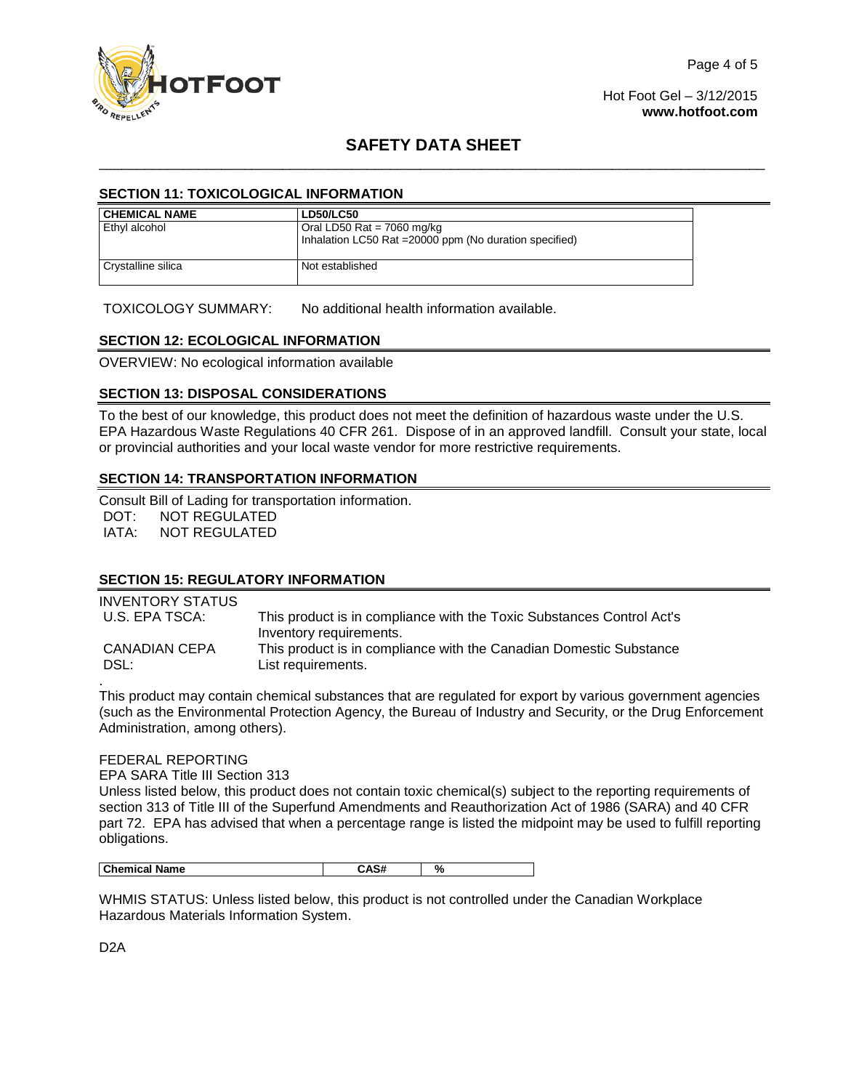

Hot Foot Gel – 3/12/2015 **[www.hotfoot.com](http://www.hotfoot.com/)**

# **SAFETY DATA SHEET** \_\_\_\_\_\_\_\_\_\_\_\_\_\_\_\_\_\_\_\_\_\_\_\_\_\_\_\_\_\_\_\_\_\_\_\_\_\_\_\_\_\_\_\_\_\_\_\_\_\_\_\_\_\_\_\_\_\_\_\_\_\_\_\_\_\_\_\_\_\_\_\_\_\_\_\_\_\_\_\_\_\_\_\_\_\_\_

### **SECTION 11: TOXICOLOGICAL INFORMATION**

| CHEMICAL NAME      | <b>LD50/LC50</b>                                        |  |
|--------------------|---------------------------------------------------------|--|
| Ethyl alcohol      | Oral LD50 Rat = $7060$ mg/kg                            |  |
|                    | Inhalation LC50 Rat = 20000 ppm (No duration specified) |  |
| Crystalline silica | Not established                                         |  |

TOXICOLOGY SUMMARY: No additional health information available.

### **SECTION 12: ECOLOGICAL INFORMATION**

OVERVIEW: No ecological information available

#### **SECTION 13: DISPOSAL CONSIDERATIONS**

To the best of our knowledge, this product does not meet the definition of hazardous waste under the U.S. EPA Hazardous Waste Regulations 40 CFR 261. Dispose of in an approved landfill. Consult your state, local or provincial authorities and your local waste vendor for more restrictive requirements.

#### **SECTION 14: TRANSPORTATION INFORMATION**

Consult Bill of Lading for transportation information. DOT: NOT REGULATED<br>IATA: NOT REGULATED NOT REGULATED

### **SECTION 15: REGULATORY INFORMATION**

| INVENTORY STATUS      |                                                                                                  |
|-----------------------|--------------------------------------------------------------------------------------------------|
| U.S. EPA TSCA:        | This product is in compliance with the Toxic Substances Control Act's<br>Inventory requirements. |
| CANADIAN CEPA<br>DSL: | This product is in compliance with the Canadian Domestic Substance<br>List requirements.         |

This product may contain chemical substances that are regulated for export by various government agencies (such as the Environmental Protection Agency, the Bureau of Industry and Security, or the Drug Enforcement Administration, among others).

#### FEDERAL REPORTING

EPA SARA Title III Section 313

Unless listed below, this product does not contain toxic chemical(s) subject to the reporting requirements of section 313 of Title III of the Superfund Amendments and Reauthorization Act of 1986 (SARA) and 40 CFR part 72. EPA has advised that when a percentage range is listed the midpoint may be used to fulfill reporting obligations.

| <b>Chemical Name</b> |  | Ω.<br>″٥ |
|----------------------|--|----------|
|----------------------|--|----------|

WHMIS STATUS: Unless listed below, this product is not controlled under the Canadian Workplace Hazardous Materials Information System.

D2A